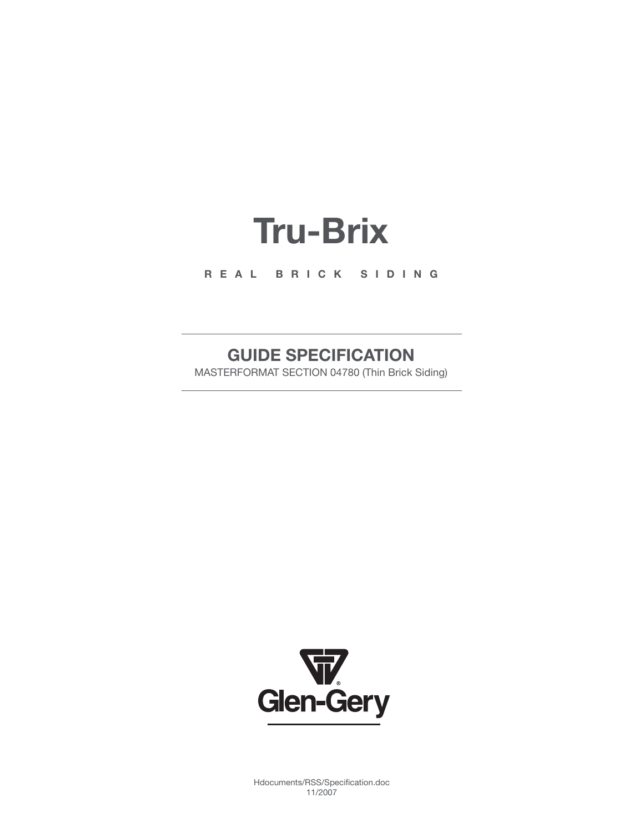# **Tru-Brix**

#### **R E A L B R I C K S I D I N G**

## **GUIDE SPECIFICATION**

MASTERFORMAT SECTION 04780 (Thin Brick Siding)



Hdocuments/RSS/Specification.doc 11/2007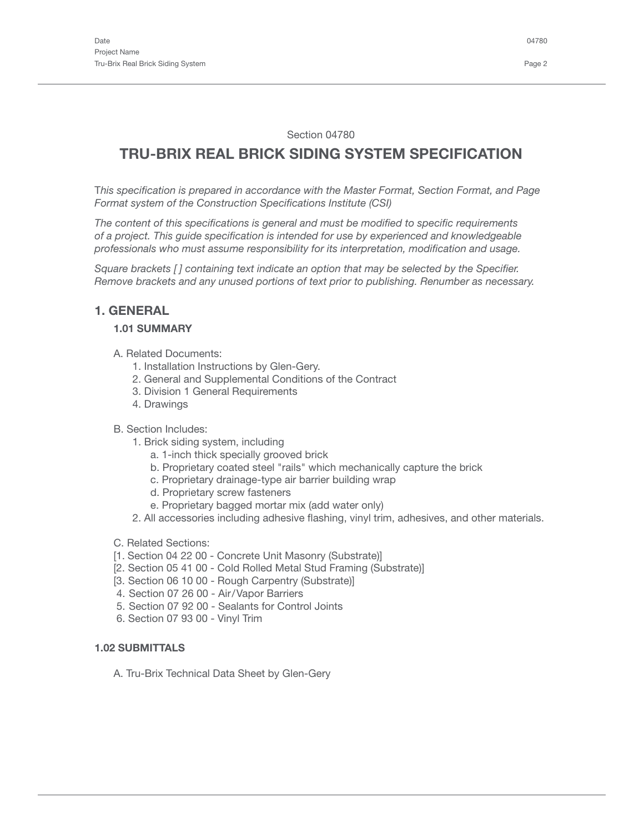#### Section 04780

## **TRU-BRIX REAL BRICK SIDING SYSTEM SPECIFICATION**

T*his specification is prepared in accordance with the Master Format, Section Format, and Page Format system of the Construction Specifications Institute (CSI)* 

*The content of this specifications is general and must be modified to specific requirements of a project. This guide specification is intended for use by experienced and knowledgeable professionals who must assume responsibility for its interpretation, modification and usage.* 

*Square brackets [ ] containing text indicate an option that may be selected by the Specifier. Remove brackets and any unused portions of text prior to publishing. Renumber as necessary.*

#### **1. GENERAL**

#### **1.01 SUMMARY**

- A. Related Documents:
	- 1. Installation Instructions by Glen-Gery.
	- 2. General and Supplemental Conditions of the Contract
	- 3. Division 1 General Requirements
	- 4. Drawings

#### B. Section Includes:

- 1. Brick siding system, including
	- a. 1-inch thick specially grooved brick
	- b. Proprietary coated steel "rails" which mechanically capture the brick
	- c. Proprietary drainage-type air barrier building wrap
	- d. Proprietary screw fasteners
	- e. Proprietary bagged mortar mix (add water only)
- 2. All accessories including adhesive flashing, vinyl trim, adhesives, and other materials.
- C. Related Sections:
- [1. Section 04 22 00 Concrete Unit Masonry (Substrate)]
- [2. Section 05 41 00 Cold Rolled Metal Stud Framing (Substrate)]
- [3. Section 06 10 00 Rough Carpentry (Substrate)]
- 4. Section 07 26 00 Air/Vapor Barriers
- 5. Section 07 92 00 Sealants for Control Joints
- 6. Section 07 93 00 Vinyl Trim

#### **1.02 SUBMITTALS**

A. Tru-Brix Technical Data Sheet by Glen-Gery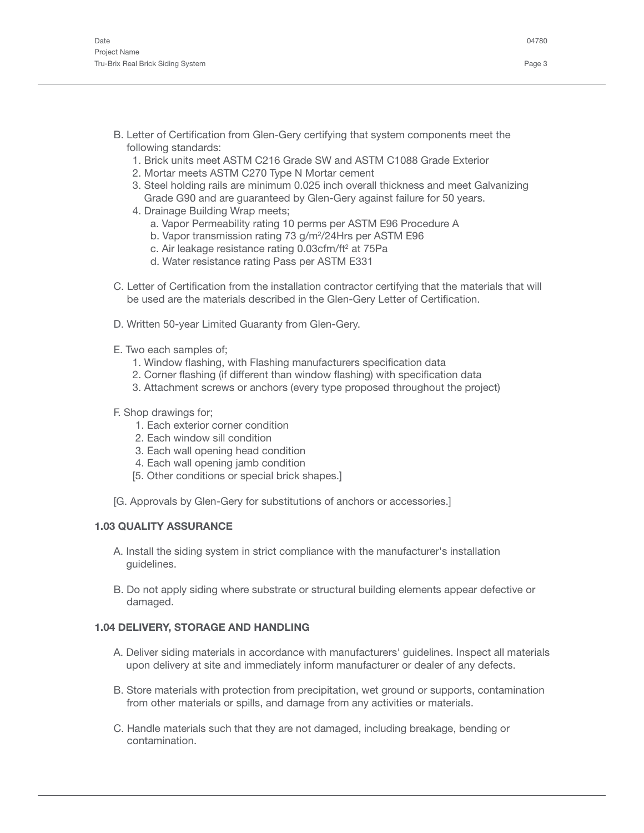- B. Letter of Certification from Glen-Gery certifying that system components meet the following standards:
	- 1. Brick units meet ASTM C216 Grade SW and ASTM C1088 Grade Exterior
	- 2. Mortar meets ASTM C270 Type N Mortar cement
	- 3. Steel holding rails are minimum 0.025 inch overall thickness and meet Galvanizing Grade G90 and are guaranteed by Glen-Gery against failure for 50 years.
	- 4. Drainage Building Wrap meets;
		- a. Vapor Permeability rating 10 perms per ASTM E96 Procedure A
- b. Vapor transmission rating 73 g/m<sup>2</sup>/24Hrs per ASTM E96
- c. Air leakage resistance rating 0.03cfm/ft<sup>2</sup> at 75Pa
	- d. Water resistance rating Pass per ASTM E331
	- C. Letter of Certification from the installation contractor certifying that the materials that will be used are the materials described in the Glen-Gery Letter of Certification.
	- D. Written 50-year Limited Guaranty from Glen-Gery.
	- E. Two each samples of;
		- 1. Window flashing, with Flashing manufacturers specification data
		- 2. Corner flashing (if different than window flashing) with specification data
		- 3. Attachment screws or anchors (every type proposed throughout the project)
	- F. Shop drawings for;
		- 1. Each exterior corner condition
		- 2. Each window sill condition
		- 3. Each wall opening head condition
		- 4. Each wall opening jamb condition
		- [5. Other conditions or special brick shapes.]
	- [G. Approvals by Glen-Gery for substitutions of anchors or accessories.]

#### **1.03 QUALITY ASSURANCE**

- A. Install the siding system in strict compliance with the manufacturer's installation guidelines.
- B. Do not apply siding where substrate or structural building elements appear defective or damaged.

#### **1.04 DELIVERY, STORAGE AND HANDLING**

- A. Deliver siding materials in accordance with manufacturers' guidelines. Inspect all materials upon delivery at site and immediately inform manufacturer or dealer of any defects.
- B. Store materials with protection from precipitation, wet ground or supports, contamination from other materials or spills, and damage from any activities or materials.
- C. Handle materials such that they are not damaged, including breakage, bending or contamination.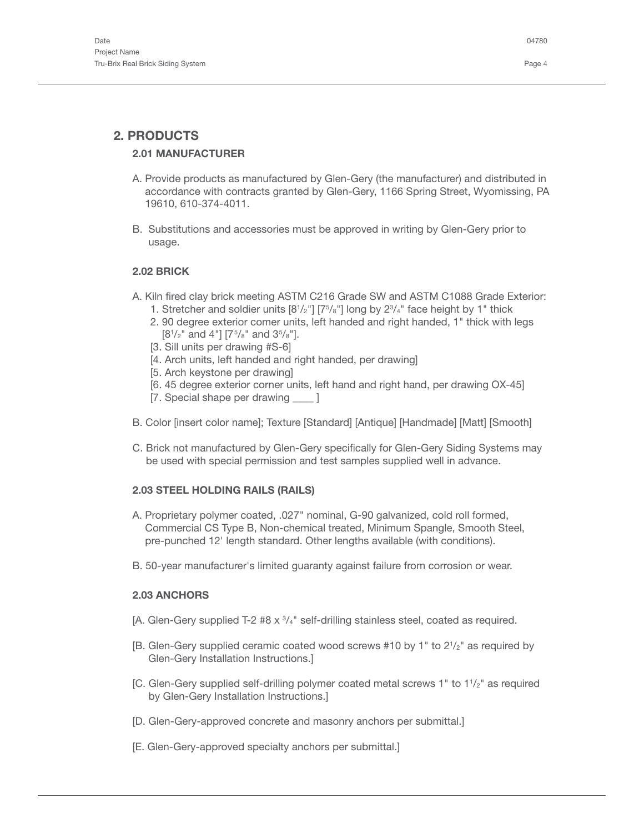## **2. PRODUCTS**

#### **2.01 MANUFACTURER**

- A. Provide products as manufactured by Glen-Gery (the manufacturer) and distributed in accordance with contracts granted by Glen-Gery, 1166 Spring Street, Wyomissing, PA 19610, 610-374-4011.
- B. Substitutions and accessories must be approved in writing by Glen-Gery prior to usage.

#### **2.02 BRICK**

- A. Kiln fired clay brick meeting ASTM C216 Grade SW and ASTM C1088 Grade Exterior:
- 1. Stretcher and soldier units  $[8<sup>1</sup>/2<sup>''</sup>]$   $[7<sup>5</sup>/8<sup>''</sup>]$  long by  $2<sup>3</sup>/4<sup>''</sup>$  face height by 1" thick
	- 2. 90 degree exterior comer units, left handed and right handed, 1" thick with legs  $[8^{1}/2"$  and 4"]  $[7^{5}/8"$  and  $3^{5}/8"$ ].
	- [3. Sill units per drawing #S-6]
	- [4. Arch units, left handed and right handed, per drawing]
	- [5. Arch keystone per drawing]
	- [6. 45 degree exterior corner units, left hand and right hand, per drawing OX-45]
	- [7. Special shape per drawing  $\frac{1}{\sqrt{2}}$ ]
	- B. Color [insert color name]; Texture [Standard] [Antique] [Handmade] [Matt] [Smooth]
	- C. Brick not manufactured by Glen-Gery specifically for Glen-Gery Siding Systems may be used with special permission and test samples supplied well in advance.

#### **2.03 STEEL HOLDING RAILS (RAILS)**

- A. Proprietary polymer coated, .027" nominal, G-90 galvanized, cold roll formed, Commercial CS Type B, Non-chemical treated, Minimum Spangle, Smooth Steel, pre-punched 12' length standard. Other lengths available (with conditions).
- B. 50-year manufacturer's limited guaranty against failure from corrosion or wear.

#### **2.03 ANCHORS**

- [A. Glen-Gery supplied T-2  $#8 \times \frac{3}{4}$ " self-drilling stainless steel, coated as required.
- [B. Glen-Gery supplied ceramic coated wood screws #10 by 1" to  $2\frac{1}{2}$ " as required by Glen-Gery Installation Instructions.]
- [C. Glen-Gery supplied self-drilling polymer coated metal screws 1" to 11 /2" as required by Glen-Gery Installation Instructions.]
	- [D. Glen-Gery-approved concrete and masonry anchors per submittal.]
	- [E. Glen-Gery-approved specialty anchors per submittal.]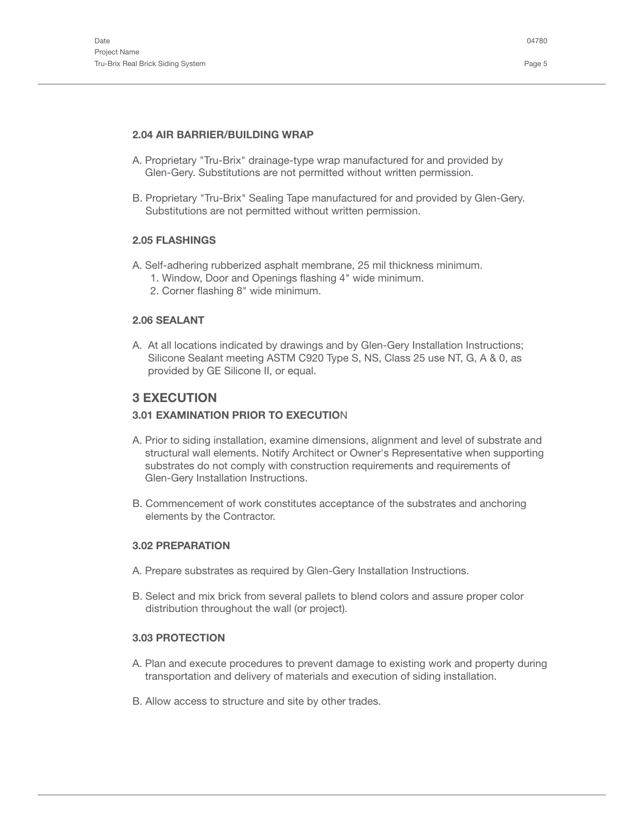#### **2.04 AIR BARRIER/BUILDING WRAP**

- A. Proprietary "Tru-Brix" drainage-type wrap manufactured for and provided by Glen-Gery. Substitutions are not permitted without written permission.
- B. Proprietary "Tru-Brix" Sealing Tape manufactured for and provided by Glen-Gery. Substitutions are not permitted without written permission.

#### **2.05 FLASHINGS**

- A. Self-adhering rubberized asphalt membrane, 25 mil thickness minimum.
	- 1. Window, Door and Openings flashing 4" wide minimum.
	- 2. Corner flashing 8" wide minimum.

#### **2.06 SEALANT**

 A. At all locations indicated by drawings and by Glen-Gery Installation Instructions; Silicone Sealant meeting ASTM C920 Type S, NS, Class 25 use NT, G, A & 0, as provided by GE Silicone II, or equal.

#### **3 EXECUTION**

#### **3.01 EXAMINATION PRIOR TO EXECUTIO**N

- A. Prior to siding installation, examine dimensions, alignment and level of substrate and structural wall elements. Notify Architect or Owner's Representative when supporting substrates do not comply with construction requirements and requirements of Glen-Gery Installation Instructions.
- B. Commencement of work constitutes acceptance of the substrates and anchoring elements by the Contractor.

#### **3.02 PREPARATION**

- A. Prepare substrates as required by Glen-Gery Installation Instructions.
- B. Select and mix brick from several pallets to blend colors and assure proper color distribution throughout the wall (or project).

#### **3.03 PROTECTION**

- A. Plan and execute procedures to prevent damage to existing work and property during transportation and delivery of materials and execution of siding installation.
- B. Allow access to structure and site by other trades.